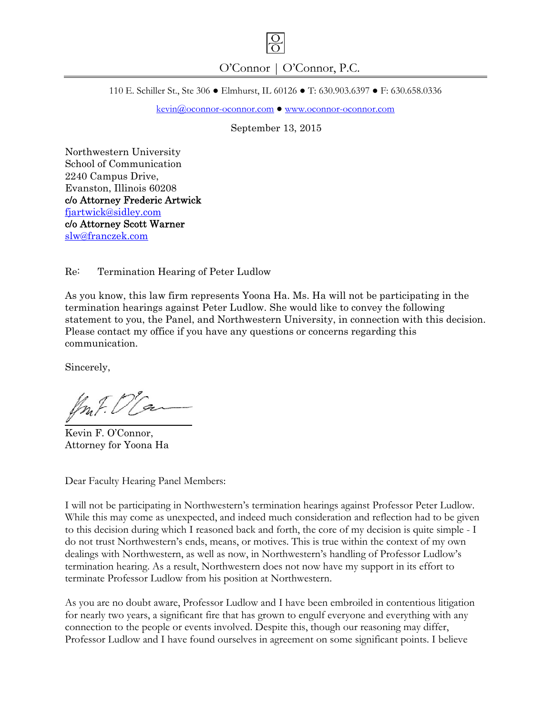

110 E. Schiller St., Ste 306 ● Elmhurst, IL 60126 ● T: 630.903.6397 ● F: 630.658.0336

kevin@oconnor-oconnor.com ● www.oconnor-oconnor.com

September 13, 2015

Northwestern University School of Communication 2240 Campus Drive, Evanston, Illinois 60208 c/o Attorney Frederic Artwick [fjartwick@sidley.com](mailto:fjartwick@sidley.com)  c/o Attorney Scott Warner [slw@franczek.com](mailto:slw@franczek.com) 

Re: Termination Hearing of Peter Ludlow

As you know, this law firm represents Yoona Ha. Ms. Ha will not be participating in the termination hearings against Peter Ludlow. She would like to convey the following statement to you, the Panel, and Northwestern University, in connection with this decision. Please contact my office if you have any questions or concerns regarding this communication.

Sincerely,

Kevin F. O'Connor, Attorney for Yoona Ha

Dear Faculty Hearing Panel Members:

I will not be participating in Northwestern's termination hearings against Professor Peter Ludlow. While this may come as unexpected, and indeed much consideration and reflection had to be given to this decision during which I reasoned back and forth, the core of my decision is quite simple - I do not trust Northwestern's ends, means, or motives. This is true within the context of my own dealings with Northwestern, as well as now, in Northwestern's handling of Professor Ludlow's termination hearing. As a result, Northwestern does not now have my support in its effort to terminate Professor Ludlow from his position at Northwestern.

As you are no doubt aware, Professor Ludlow and I have been embroiled in contentious litigation for nearly two years, a significant fire that has grown to engulf everyone and everything with any connection to the people or events involved. Despite this, though our reasoning may differ, Professor Ludlow and I have found ourselves in agreement on some significant points. I believe